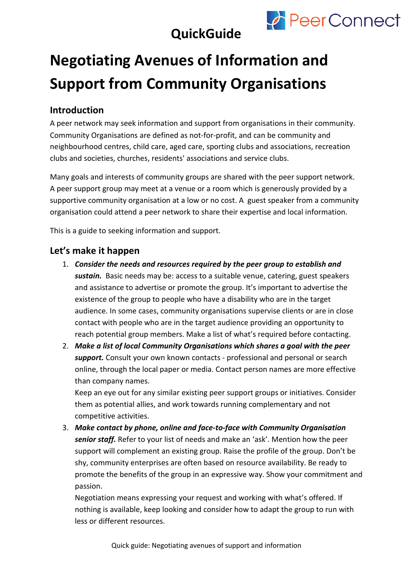



# **Negotiating Avenues of Information and Support from Community Organisations**

## **Introduction**

A peer network may seek information and support from organisations in their community. Community Organisations are defined as not-for-profit, and can be community and neighbourhood centres, child care, aged care, sporting clubs and associations, recreation clubs and societies, churches, residents' associations and service clubs.

Many goals and interests of community groups are shared with the peer support network. A peer support group may meet at a venue or a room which is generously provided by a supportive community organisation at a low or no cost. A guest speaker from a community organisation could attend a peer network to share their expertise and local information.

This is a guide to seeking information and support.

#### **Let's make it happen**

- 1. *Consider the needs and resources required by the peer group to establish and sustain.* Basic needs may be: access to a suitable venue, catering, guest speakers and assistance to advertise or promote the group. It's important to advertise the existence of the group to people who have a disability who are in the target audience. In some cases, community organisations supervise clients or are in close contact with people who are in the target audience providing an opportunity to reach potential group members. Make a list of what's required before contacting.
- 2. *Make a list of local Community Organisations which shares a goal with the peer support.* Consult your own known contacts - professional and personal or search online, through the local paper or media. Contact person names are more effective than company names.

Keep an eye out for any similar existing peer support groups or initiatives. Consider them as potential allies, and work towards running complementary and not competitive activities.

3. *Make contact by phone, online and face-to-face with Community Organisation senior staff.* Refer to your list of needs and make an 'ask'. Mention how the peer support will complement an existing group. Raise the profile of the group. Don't be shy, community enterprises are often based on resource availability. Be ready to promote the benefits of the group in an expressive way. Show your commitment and passion.

Negotiation means expressing your request and working with what's offered. If nothing is available, keep looking and consider how to adapt the group to run with less or different resources.